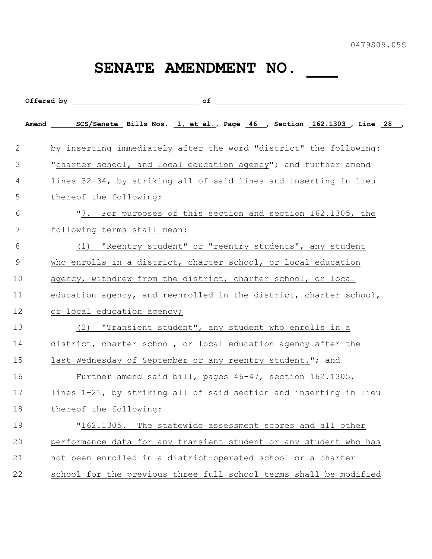## SENATE AMENDMENT NO.

|    | Amend SCS/Senate Bills Nos. 1, et al., Page 46 , Section 162.1303 , Line 28 , |
|----|-------------------------------------------------------------------------------|
| 2  | by inserting immediately after the word "district" the following:             |
| 3  | "charter school, and local education agency"; and further amend               |
| 4  | lines 32-34, by striking all of said lines and inserting in lieu              |
| 5  | thereof the following:                                                        |
| 6  | "7. For purposes of this section and section 162.1305, the                    |
| 7  | following terms shall mean:                                                   |
| 8  | "Reentry student" or "reentry students", any student<br>(1)                   |
| 9  | who enrolls in a district, charter school, or local education                 |
| 10 | agency, withdrew from the district, charter school, or local                  |
| 11 | education agency, and reenrolled in the district, charter school,             |
| 12 | or local education agency;                                                    |
| 13 | (2) "Transient student", any student who enrolls in a                         |
| 14 | district, charter school, or local education agency after the                 |
| 15 | last Wednesday of September or any reentry student."; and                     |
| 16 | Further amend said bill, pages 46-47, section 162.1305,                       |
| 17 | lines 1-21, by striking all of said section and inserting in lieu             |
| 18 | thereof the following:                                                        |
| 19 | "162.1305. The statewide assessment scores and all other                      |
| 20 | performance data for any transient student or any student who has             |
| 21 | not been enrolled in a district-operated school or a charter                  |
| 22 | school for the previous three full school terms shall be modified             |
|    |                                                                               |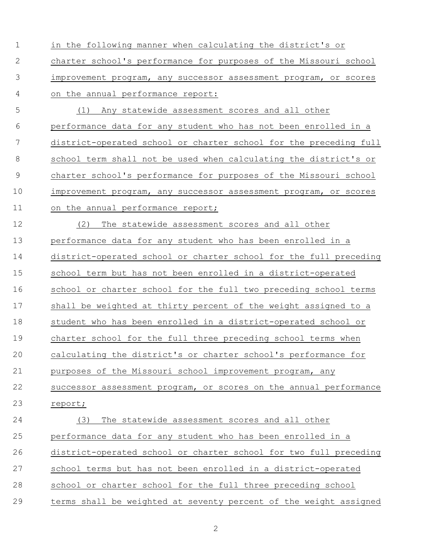in the following manner when calculating the district's or charter school's performance for purposes of the Missouri school improvement program, any successor assessment program, or scores on the annual performance report:

 (1) Any statewide assessment scores and all other performance data for any student who has not been enrolled in a district-operated school or charter school for the preceding full school term shall not be used when calculating the district's or charter school's performance for purposes of the Missouri school improvement program, any successor assessment program, or scores 11 on the annual performance report;

 (2) The statewide assessment scores and all other performance data for any student who has been enrolled in a district-operated school or charter school for the full preceding school term but has not been enrolled in a district-operated school or charter school for the full two preceding school terms shall be weighted at thirty percent of the weight assigned to a student who has been enrolled in a district-operated school or charter school for the full three preceding school terms when calculating the district's or charter school's performance for purposes of the Missouri school improvement program, any successor assessment program, or scores on the annual performance report; (3) The statewide assessment scores and all other performance data for any student who has been enrolled in a

- district-operated school or charter school for two full preceding
- school terms but has not been enrolled in a district-operated
- school or charter school for the full three preceding school
- terms shall be weighted at seventy percent of the weight assigned